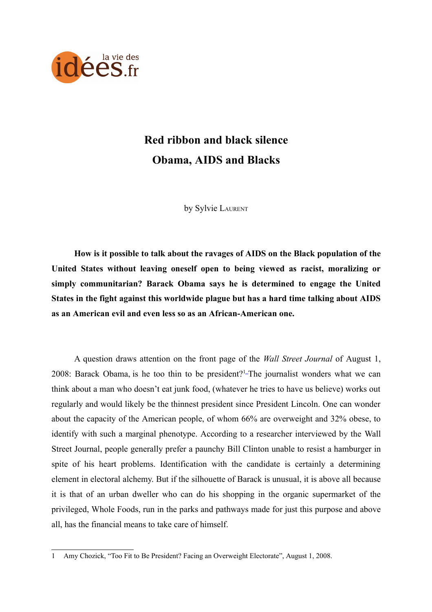

# **Red ribbon and black silence Obama, AIDS and Blacks**

by Sylvie LAURENT

**How is it possible to talk about the ravages of AIDS on the Black population of the United States without leaving oneself open to being viewed as racist, moralizing or simply communitarian? Barack Obama says he is determined to engage the United States in the fight against this worldwide plague but has a hard time talking about AIDS as an American evil and even less so as an African-American one.**

A question draws attention on the front page of the *Wall Street Journal* of August 1, 2008: Barack Obama, is he too thin to be president?<sup>[1](#page-0-0)</sup>-The journalist wonders what we can think about a man who doesn't eat junk food, (whatever he tries to have us believe) works out regularly and would likely be the thinnest president since President Lincoln. One can wonder about the capacity of the American people, of whom 66% are overweight and 32% obese, to identify with such a marginal phenotype. According to a researcher interviewed by the Wall Street Journal, people generally prefer a paunchy Bill Clinton unable to resist a hamburger in spite of his heart problems. Identification with the candidate is certainly a determining element in electoral alchemy. But if the silhouette of Barack is unusual, it is above all because it is that of an urban dweller who can do his shopping in the organic supermarket of the privileged, Whole Foods, run in the parks and pathways made for just this purpose and above all, has the financial means to take care of himself.

<span id="page-0-0"></span><sup>1</sup> Amy Chozick, "Too Fit to Be President? Facing an Overweight Electorate", August 1, 2008.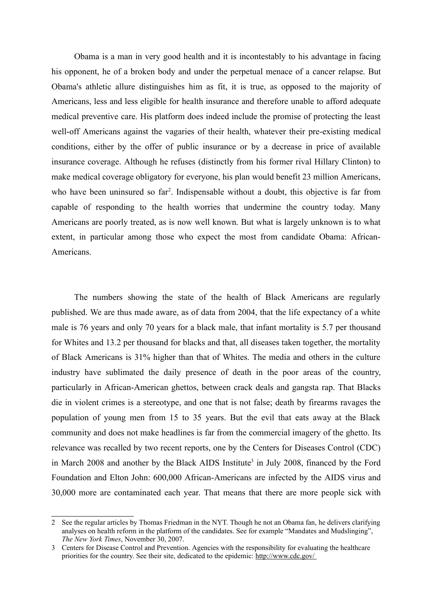Obama is a man in very good health and it is incontestably to his advantage in facing his opponent, he of a broken body and under the perpetual menace of a cancer relapse. But Obama's athletic allure distinguishes him as fit, it is true, as opposed to the majority of Americans, less and less eligible for health insurance and therefore unable to afford adequate medical preventive care. His platform does indeed include the promise of protecting the least well-off Americans against the vagaries of their health, whatever their pre-existing medical conditions, either by the offer of public insurance or by a decrease in price of available insurance coverage. Although he refuses (distinctly from his former rival Hillary Clinton) to make medical coverage obligatory for everyone, his plan would benefit 23 million Americans, who have been uninsured so far<sup>[2](#page-1-0)</sup>. Indispensable without a doubt, this objective is far from capable of responding to the health worries that undermine the country today. Many Americans are poorly treated, as is now well known. But what is largely unknown is to what extent, in particular among those who expect the most from candidate Obama: African-Americans.

The numbers showing the state of the health of Black Americans are regularly published. We are thus made aware, as of data from 2004, that the life expectancy of a white male is 76 years and only 70 years for a black male, that infant mortality is 5.7 per thousand for Whites and 13.2 per thousand for blacks and that, all diseases taken together, the mortality of Black Americans is 31% higher than that of Whites. The media and others in the culture industry have sublimated the daily presence of death in the poor areas of the country, particularly in African-American ghettos, between crack deals and gangsta rap. That Blacks die in violent crimes is a stereotype, and one that is not false; death by firearms ravages the population of young men from 15 to 35 years. But the evil that eats away at the Black community and does not make headlines is far from the commercial imagery of the ghetto. Its relevance was recalled by two recent reports, one by the Centers for Diseases Control (CDC) in March 2008 and another by the Black AIDS Institute [3](#page-1-1) in July 2008, financed by the Ford Foundation and Elton John: 600,000 African-Americans are infected by the AIDS virus and 30,000 more are contaminated each year. That means that there are more people sick with

<span id="page-1-0"></span><sup>2</sup> See the regular articles by Thomas Friedman in the NYT. Though he not an Obama fan, he delivers clarifying analyses on health reform in the platform of the candidates. See for example "Mandates and Mudslinging", *The New York Times*, November 30, 2007.

<span id="page-1-1"></span><sup>3</sup> Centers for Disease Control and Prevention. Agencies with the responsibility for evaluating the healthcare priorities for the country. See their site, dedicated to the epidemic: [http://www.cdc.gov/](http://www.cdc.gov/%20)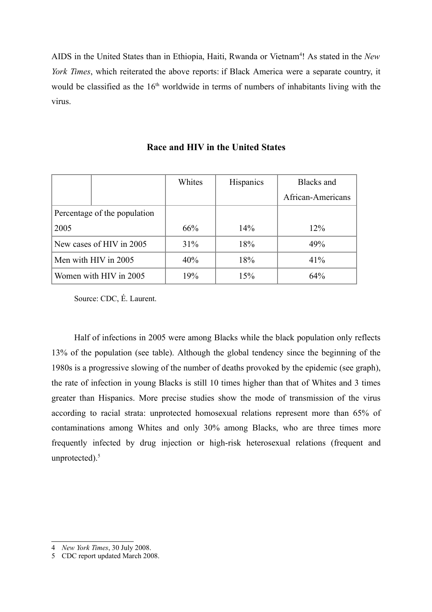AIDS in the United States than in Ethiopia, Haiti, Rwanda or Vietnam<sup>[4](#page-2-0)</sup>! As stated in the *New York Times*, which reiterated the above reports: if Black America were a separate country, it would be classified as the  $16<sup>th</sup>$  worldwide in terms of numbers of inhabitants living with the virus.

|                          |                              | Whites | Hispanics | Blacks and        |
|--------------------------|------------------------------|--------|-----------|-------------------|
|                          |                              |        |           | African-Americans |
|                          | Percentage of the population |        |           |                   |
| 2005                     |                              | 66%    | 14%       | 12%               |
| New cases of HIV in 2005 |                              | 31%    | 18%       | 49%               |
| Men with HIV in 2005     |                              | 40%    | 18%       | 41%               |
| Women with HIV in 2005   |                              | 19%    | 15%       | 64%               |

### **Race and HIV in the United States**

Source: CDC, É. Laurent.

Half of infections in 2005 were among Blacks while the black population only reflects 13% of the population (see table). Although the global tendency since the beginning of the 1980s is a progressive slowing of the number of deaths provoked by the epidemic (see graph), the rate of infection in young Blacks is still 10 times higher than that of Whites and 3 times greater than Hispanics. More precise studies show the mode of transmission of the virus according to racial strata: unprotected homosexual relations represent more than 65% of contaminations among Whites and only 30% among Blacks, who are three times more frequently infected by drug injection or high-risk heterosexual relations (frequent and unprotected). [5](#page-2-1)

<span id="page-2-0"></span><sup>4</sup> *New York Times*, 30 July 2008.

<span id="page-2-1"></span><sup>5</sup> CDC report updated March 2008.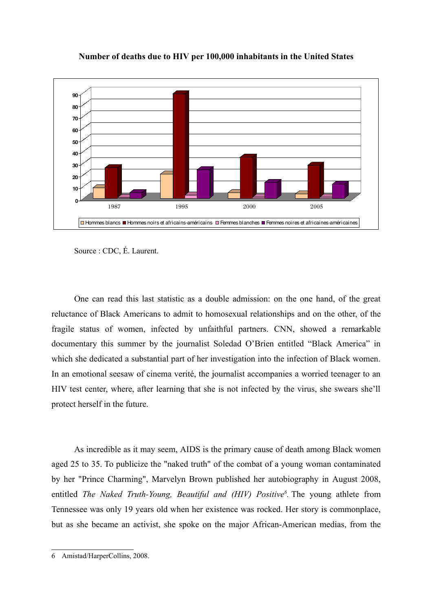

#### **Number of deaths due to HIV per 100,000 inhabitants in the United States**

Source : CDC, É. Laurent.

One can read this last statistic as a double admission: on the one hand, of the great reluctance of Black Americans to admit to homosexual relationships and on the other, of the fragile status of women, infected by unfaithful partners. CNN, showed a remarkable documentary this summer by the journalist Soledad O'Brien entitled "Black America" in which she dedicated a substantial part of her investigation into the infection of Black women. In an emotional seesaw of cinema verité, the journalist accompanies a worried teenager to an HIV test center, where, after learning that she is not infected by the virus, she swears she'll protect herself in the future.

As incredible as it may seem, AIDS is the primary cause of death among Black women aged 25 to 35. To publicize the "naked truth" of the combat of a young woman contaminated by her "Prince Charming", Marvelyn Brown published her autobiography in August 2008, entitled *The Naked Truth-Young, Beautiful and (HIV) Positive [6](#page-3-0) .* The young athlete from Tennessee was only 19 years old when her existence was rocked. Her story is commonplace, but as she became an activist, she spoke on the major African-American medias, from the

<span id="page-3-0"></span><sup>6</sup> Amistad/HarperCollins, 2008.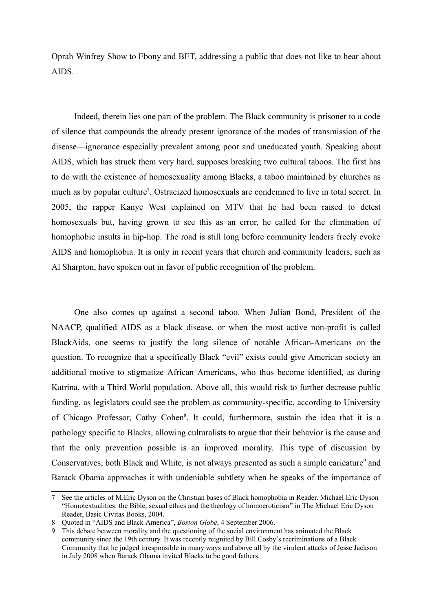Oprah Winfrey Show to Ebony and BET, addressing a public that does not like to hear about AIDS.

Indeed, therein lies one part of the problem. The Black community is prisoner to a code of silence that compounds the already present ignorance of the modes of transmission of the disease—ignorance especially prevalent among poor and uneducated youth. Speaking about AIDS, which has struck them very hard, supposes breaking two cultural taboos. The first has to do with the existence of homosexuality among Blacks, a taboo maintained by churches as much as by popular culture<sup>[7](#page-4-0)</sup>. Ostracized homosexuals are condemned to live in total secret. In 2005, the rapper Kanye West explained on MTV that he had been raised to detest homosexuals but, having grown to see this as an error, he called for the elimination of homophobic insults in hip-hop. The road is still long before community leaders freely evoke AIDS and homophobia. It is only in recent years that church and community leaders, such as Al Sharpton, have spoken out in favor of public recognition of the problem.

One also comes up against a second taboo. When Julian Bond, President of the NAACP, qualified AIDS as a black disease, or when the most active non-profit is called BlackAids, one seems to justify the long silence of notable African-Americans on the question. To recognize that a specifically Black "evil" exists could give American society an additional motive to stigmatize African Americans, who thus become identified, as during Katrina, with a Third World population. Above all, this would risk to further decrease public funding, as legislators could see the problem as community-specific, according to University of Chicago Professor, Cathy Cohen<sup>[8](#page-4-1)</sup>. It could, furthermore, sustain the idea that it is a pathology specific to Blacks, allowing culturalists to argue that their behavior is the cause and that the only prevention possible is an improved morality. This type of discussion by Conservatives, both Black and White, is not always presented as such a simple caricature<sup>[9](#page-4-2)</sup> and Barack Obama approaches it with undeniable subtlety when he speaks of the importance of

<span id="page-4-0"></span><sup>7</sup> See the articles of M.Eric Dyson on the Christian bases of Black homophobia in Reader. Michael Eric Dyson "Homotextualities: the Bible, sexual ethics and the theology of homoeroticism" in The Michael Eric Dyson Reader, Basic Civitas Books, 2004.

<span id="page-4-1"></span><sup>8</sup> Quoted in "AIDS and Black America", *Boston Globe*, 4 September 2006.

<span id="page-4-2"></span>This debate between morality and the questioning of the social environment has animated the Black community since the 19th century. It was recently reignited by Bill Cosby's recriminations of a Black Community that he judged irresponsible in many ways and above all by the virulent attacks of Jesse Jackson in July 2008 when Barack Obama invited Blacks to be good fathers.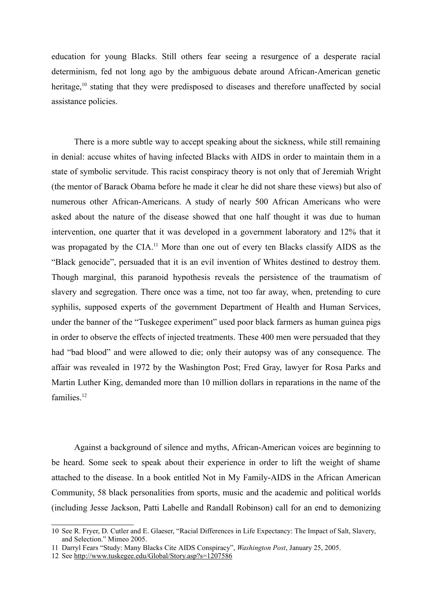education for young Blacks. Still others fear seeing a resurgence of a desperate racial determinism, fed not long ago by the ambiguous debate around African-American genetic heritage,<sup>[10](#page-5-0)</sup> stating that they were predisposed to diseases and therefore unaffected by social assistance policies.

There is a more subtle way to accept speaking about the sickness, while still remaining in denial: accuse whites of having infected Blacks with AIDS in order to maintain them in a state of symbolic servitude. This racist conspiracy theory is not only that of Jeremiah Wright (the mentor of Barack Obama before he made it clear he did not share these views) but also of numerous other African-Americans. A study of nearly 500 African Americans who were asked about the nature of the disease showed that one half thought it was due to human intervention, one quarter that it was developed in a government laboratory and 12% that it was propagated by the CIA.<sup>[11](#page-5-1)</sup> More than one out of every ten Blacks classify AIDS as the "Black genocide", persuaded that it is an evil invention of Whites destined to destroy them. Though marginal, this paranoid hypothesis reveals the persistence of the traumatism of slavery and segregation. There once was a time, not too far away, when, pretending to cure syphilis, supposed experts of the government Department of Health and Human Services, under the banner of the "Tuskegee experiment" used poor black farmers as human guinea pigs in order to observe the effects of injected treatments. These 400 men were persuaded that they had "bad blood" and were allowed to die; only their autopsy was of any consequence. The affair was revealed in 1972 by the Washington Post; Fred Gray, lawyer for Rosa Parks and Martin Luther King, demanded more than 10 million dollars in reparations in the name of the families. [12](#page-5-2)

Against a background of silence and myths, African-American voices are beginning to be heard. Some seek to speak about their experience in order to lift the weight of shame attached to the disease. In a book entitled Not in My Family-AIDS in the African American Community, 58 black personalities from sports, music and the academic and political worlds (including Jesse Jackson, Patti Labelle and Randall Robinson) call for an end to demonizing

<span id="page-5-0"></span><sup>10</sup> See R. Fryer, D. Cutler and E. Glaeser, "Racial Differences in Life Expectancy: The Impact of Salt, Slavery, and Selection." Mimeo 2005.

<span id="page-5-1"></span><sup>11</sup> Darryl Fears "Study: Many Blacks Cite AIDS Conspiracy", *Washington Post*, January 25, 2005.

<span id="page-5-2"></span><sup>12</sup> See <http://www.tuskegee.edu/Global/Story.asp?s=1207586>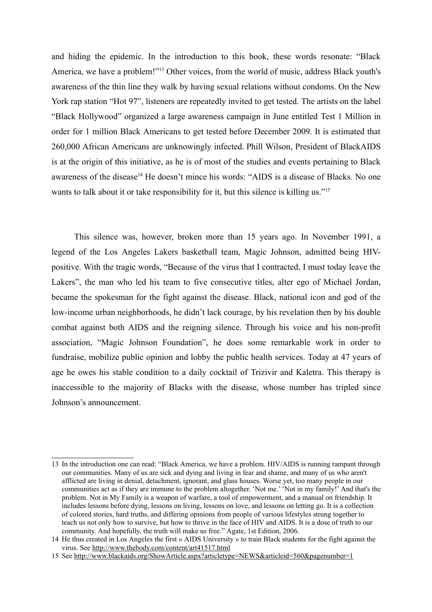and hiding the epidemic. In the introduction to this book, these words resonate: "Black America, we have a problem!"<sup>[13](#page-6-0)</sup> Other voices, from the world of music, address Black youth's awareness of the thin line they walk by having sexual relations without condoms. On the New York rap station "Hot 97", listeners are repeatedly invited to get tested. The artists on the label "Black Hollywood" organized a large awareness campaign in June entitled Test 1 Million in order for 1 million Black Americans to get tested before December 2009. It is estimated that 260,000 African Americans are unknowingly infected. Phill Wilson, President of BlackAIDS is at the origin of this initiative, as he is of most of the studies and events pertaining to Black awareness of the disease<sup>[14](#page-6-1)</sup> He doesn't mince his words: "AIDS is a disease of Blacks. No one wants to talk about it or take responsibility for it, but this silence is killing us."<sup>[15](#page-6-2)</sup>

This silence was, however, broken more than 15 years ago. In November 1991, a legend of the Los Angeles Lakers basketball team, Magic Johnson, admitted being HIVpositive. With the tragic words, "Because of the virus that I contracted, I must today leave the Lakers", the man who led his team to five consecutive titles, alter ego of Michael Jordan, became the spokesman for the fight against the disease. Black, national icon and god of the low-income urban neighborhoods, he didn't lack courage, by his revelation then by his double combat against both AIDS and the reigning silence. Through his voice and his non-profit association, "Magic Johnson Foundation", he does some remarkable work in order to fundraise, mobilize public opinion and lobby the public health services. Today at 47 years of age he owes his stable condition to a daily cocktail of Trizivir and Kaletra. This therapy is inaccessible to the majority of Blacks with the disease, whose number has tripled since Johnson's announcement.

<span id="page-6-0"></span><sup>13</sup> In the introduction one can read: "Black America, we have a problem. HIV/AIDS is running rampant through our communities. Many of us are sick and dying and living in fear and shame, and many of us who aren't afflicted are living in denial, detachment, ignorant, and glass houses. Worse yet, too many people in our communities act as if they are immune to the problem altogether. 'Not me.' 'Not in my family!' And that's the problem. Not in My Family is a weapon of warfare, a tool of empowerment, and a manual on friendship. It includes lessons before dying, lessons on living, lessons on love, and lessons on letting go. It is a collection of colored stories, hard truths, and differing opinions from people of various lifestyles strung together to teach us not only how to survive, but how to thrive in the face of HIV and AIDS. It is a dose of truth to our community. And hopefully, the truth will make us free." Agate, 1st Edition, 2006.

<span id="page-6-1"></span><sup>14</sup> He thus created in Los Angeles the first « AIDS University » to train Black students for the fight against the virus. See <http://www.thebody.com/content/art41517.html>

<span id="page-6-2"></span><sup>15</sup> See <http://www.blackaids.org/ShowArticle.aspx?articletype=NEWS&articleid=560&pagenumber=1>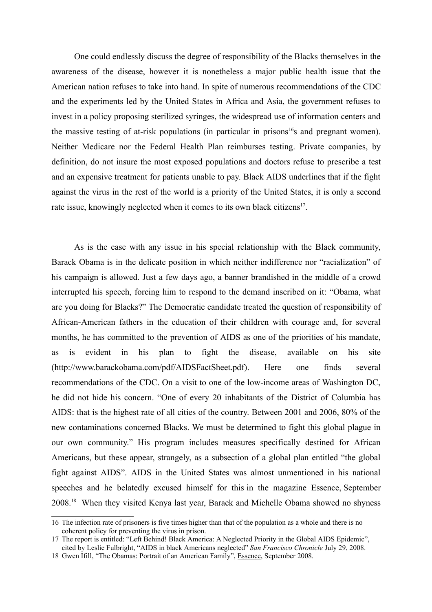One could endlessly discuss the degree of responsibility of the Blacks themselves in the awareness of the disease, however it is nonetheless a major public health issue that the American nation refuses to take into hand. In spite of numerous recommendations of the CDC and the experiments led by the United States in Africa and Asia, the government refuses to invest in a policy proposing sterilized syringes, the widespread use of information centers and the massive testing of at-risk populations (in particular in prisons<sup>[16](#page-7-0)</sup>s and pregnant women). Neither Medicare nor the Federal Health Plan reimburses testing. Private companies, by definition, do not insure the most exposed populations and doctors refuse to prescribe a test and an expensive treatment for patients unable to pay. Black AIDS underlines that if the fight against the virus in the rest of the world is a priority of the United States, it is only a second rate issue, knowingly neglected when it comes to its own black citizens<sup>[17](#page-7-1)</sup>.

As is the case with any issue in his special relationship with the Black community, Barack Obama is in the delicate position in which neither indifference nor "racialization" of his campaign is allowed. Just a few days ago, a banner brandished in the middle of a crowd interrupted his speech, forcing him to respond to the demand inscribed on it: "Obama, what are you doing for Blacks?" The Democratic candidate treated the question of responsibility of African-American fathers in the education of their children with courage and, for several months, he has committed to the prevention of AIDS as one of the priorities of his mandate, as is evident in his plan to fight the disease, available on his site [\(http://www.barackobama.com/pdf/AIDSFactSheet.pdf\)](http://www.barackobama.com/pdf/AIDSFactSheet.pdf). Here one finds several recommendations of the CDC. On a visit to one of the low-income areas of Washington DC, he did not hide his concern. "One of every 20 inhabitants of the District of Columbia has AIDS: that is the highest rate of all cities of the country. Between 2001 and 2006, 80% of the new contaminations concerned Blacks. We must be determined to fight this global plague in our own community." His program includes measures specifically destined for African Americans, but these appear, strangely, as a subsection of a global plan entitled "the global fight against AIDS". AIDS in the United States was almost unmentioned in his national speeches and he belatedly excused himself for this in the magazine Essence, September 2008. [18](#page-7-2) When they visited Kenya last year, Barack and Michelle Obama showed no shyness

<span id="page-7-0"></span><sup>16</sup> The infection rate of prisoners is five times higher than that of the population as a whole and there is no coherent policy for preventing the virus in prison.

<span id="page-7-1"></span><sup>17</sup> The report is entitled: "Left Behind! Black America: A Neglected Priority in the Global AIDS Epidemic", cited by Leslie Fulbright, "AIDS in black Americans neglected" *San Francisco Chronicle* July 29, 2008.

<span id="page-7-2"></span><sup>18</sup> Gwen Ifill, "The Obamas: Portrait of an American Family", [Essence,](http://magazine-directory.com/Essence.htm) September 2008.